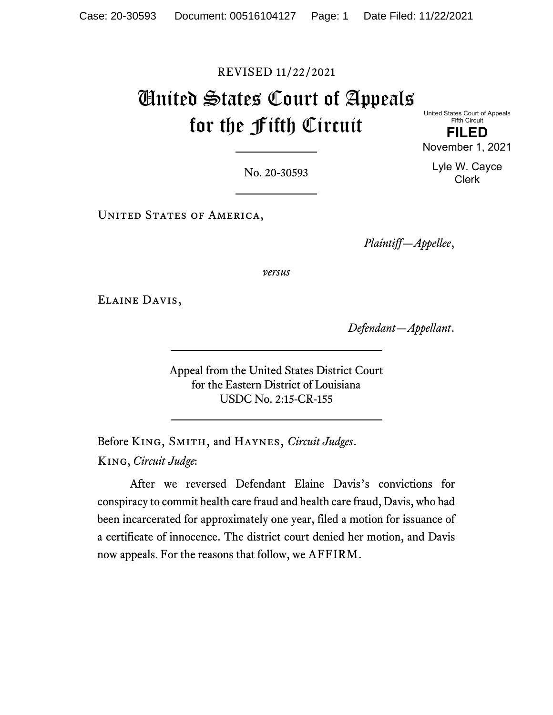### REVISED 11/22/2021

# United States Court of Appeals for the Fifth Circuit

United States Court of Appeals Fifth Circuit

**FILED** November 1, 2021

> Lyle W. Cayce Clerk

No. 20-30593

UNITED STATES OF AMERICA,

*Plaintiff—Appellee*,

*versus*

Elaine Davis,

*Defendant—Appellant*.

Appeal from the United States District Court for the Eastern District of Louisiana USDC No. 2:15-CR-155

Before King, Smith, and Haynes, *Circuit Judges*. King, *Circuit Judge*:

After we reversed Defendant Elaine Davis's convictions for conspiracy to commit health care fraud and health care fraud, Davis, who had been incarcerated for approximately one year, filed a motion for issuance of a certificate of innocence. The district court denied her motion, and Davis now appeals. For the reasons that follow, we AFFIRM.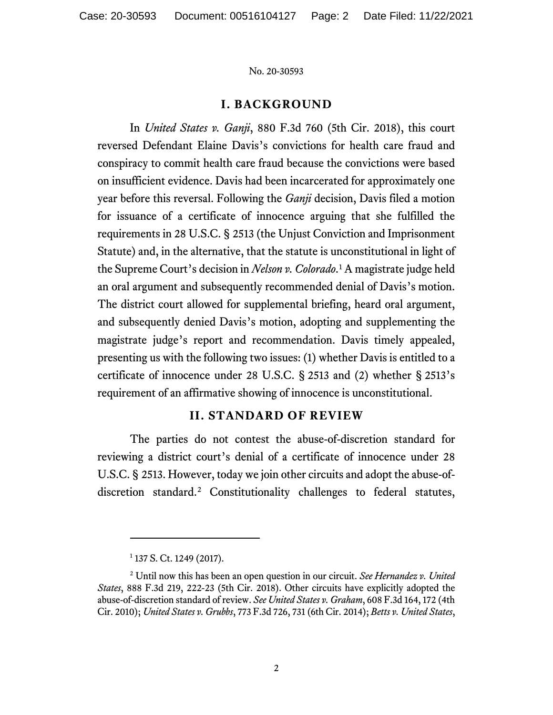## **I. BACKGROUND**

In *United States v. Ganji*, 880 F.3d 760 (5th Cir. 2018), this court reversed Defendant Elaine Davis's convictions for health care fraud and conspiracy to commit health care fraud because the convictions were based on insufficient evidence. Davis had been incarcerated for approximately one year before this reversal. Following the *Ganji* decision, Davis filed a motion for issuance of a certificate of innocence arguing that she fulfilled the requirements in 28 U.S.C. § 2513 (the Unjust Conviction and Imprisonment Statute) and, in the alternative, that the statute is unconstitutional in light of the Supreme Court's decision in *Nelson v. Colorado*. [1](#page-1-0) A magistrate judge held an oral argument and subsequently recommended denial of Davis's motion. The district court allowed for supplemental briefing, heard oral argument, and subsequently denied Davis's motion, adopting and supplementing the magistrate judge's report and recommendation. Davis timely appealed, presenting us with the following two issues: (1) whether Davis is entitled to a certificate of innocence under 28 U.S.C. § 2513 and (2) whether § 2513's requirement of an affirmative showing of innocence is unconstitutional.

### **II. STANDARD OF REVIEW**

The parties do not contest the abuse-of-discretion standard for reviewing a district court's denial of a certificate of innocence under 28 U.S.C. § 2513. However, today we join other circuits and adopt the abuse-ofdiscretion standard.[2](#page-1-1) Constitutionality challenges to federal statutes,

<sup>&</sup>lt;sup>1</sup> 137 S. Ct. 1249 (2017).

<span id="page-1-1"></span><span id="page-1-0"></span><sup>2</sup> Until now this has been an open question in our circuit. *See Hernandez v. United States*, 888 F.3d 219, 222-23 (5th Cir. 2018). Other circuits have explicitly adopted the abuse-of-discretion standard of review. *See United States v. Graham*, 608 F.3d 164, 172 (4th Cir. 2010); *United States v. Grubbs*, 773 F.3d 726, 731 (6th Cir. 2014); *Betts v. United States*,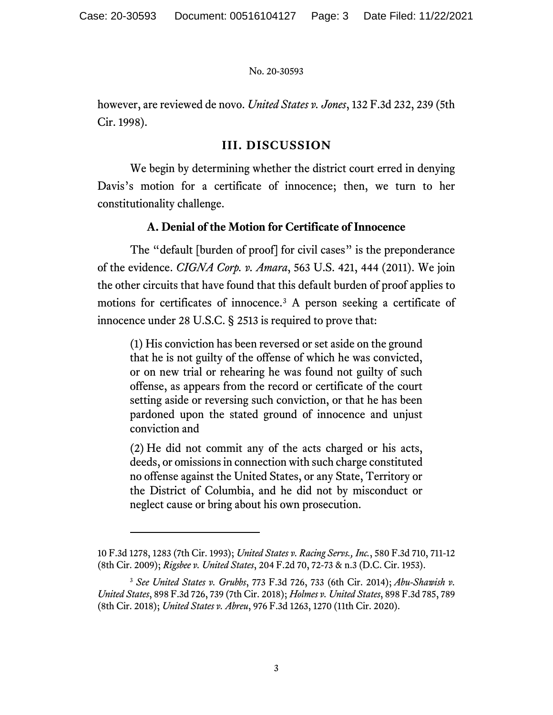however, are reviewed de novo. *United States v. Jones*, 132 F.3d 232, 239 (5th Cir. 1998).

## **III. DISCUSSION**

We begin by determining whether the district court erred in denying Davis's motion for a certificate of innocence; then, we turn to her constitutionality challenge.

## **A. Denial of the Motion for Certificate of Innocence**

The "default [burden of proof] for civil cases" is the preponderance of the evidence. *CIGNA Corp. v. Amara*, 563 U.S. 421, 444 (2011). We join the other circuits that have found that this default burden of proof applies to motions for certificates of innocence. [3](#page-2-0) A person seeking a certificate of innocence under 28 U.S.C. § 2513 is required to prove that:

(1) His conviction has been reversed or set aside on the ground that he is not guilty of the offense of which he was convicted, or on new trial or rehearing he was found not guilty of such offense, as appears from the record or certificate of the court setting aside or reversing such conviction, or that he has been pardoned upon the stated ground of innocence and unjust conviction and

(2) He did not commit any of the acts charged or his acts, deeds, or omissions in connection with such charge constituted no offense against the United States, or any State, Territory or the District of Columbia, and he did not by misconduct or neglect cause or bring about his own prosecution.

<sup>10</sup> F.3d 1278, 1283 (7th Cir. 1993); *United States v. Racing Servs., Inc.*, 580 F.3d 710, 711-12 (8th Cir. 2009); *Rigsbee v. United States*, 204 F.2d 70, 72-73 & n.3 (D.C. Cir. 1953).

<span id="page-2-0"></span><sup>3</sup> *See United States v. Grubbs*, 773 F.3d 726, 733 (6th Cir. 2014); *Abu-Shawish v. United States*, 898 F.3d 726, 739 (7th Cir. 2018); *Holmes v. United States*, 898 F.3d 785, 789 (8th Cir. 2018); *United States v. Abreu*, 976 F.3d 1263, 1270 (11th Cir. 2020).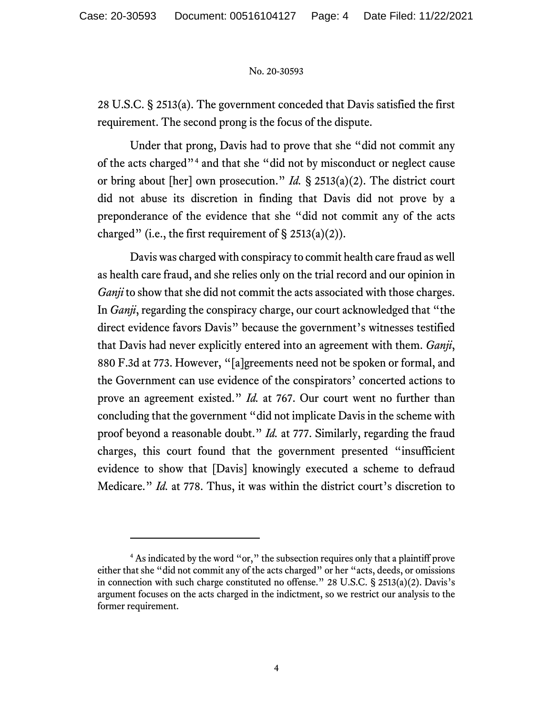28 U.S.C. § 2513(a). The government conceded that Davis satisfied the first requirement. The second prong is the focus of the dispute.

Under that prong, Davis had to prove that she "did not commit any of the acts charged"[4](#page-3-0) and that she "did not by misconduct or neglect cause or bring about [her] own prosecution." *Id.* § 2513(a)(2). The district court did not abuse its discretion in finding that Davis did not prove by a preponderance of the evidence that she "did not commit any of the acts charged" (i.e., the first requirement of  $\S 2513(a)(2)$ ).

Davis was charged with conspiracy to commit health care fraud as well as health care fraud, and she relies only on the trial record and our opinion in *Ganji* to show that she did not commit the acts associated with those charges. In *Ganji*, regarding the conspiracy charge, our court acknowledged that "the direct evidence favors Davis" because the government's witnesses testified that Davis had never explicitly entered into an agreement with them. *Ganji*, 880 F.3d at 773. However, "[a]greements need not be spoken or formal, and the Government can use evidence of the conspirators' concerted actions to prove an agreement existed." *Id.* at 767. Our court went no further than concluding that the government "did not implicate Davis in the scheme with proof beyond a reasonable doubt." *Id.* at 777. Similarly, regarding the fraud charges, this court found that the government presented "insufficient evidence to show that [Davis] knowingly executed a scheme to defraud Medicare." *Id.* at 778. Thus, it was within the district court's discretion to

<span id="page-3-0"></span><sup>4</sup> As indicated by the word "or," the subsection requires only that a plaintiff prove either that she "did not commit any of the acts charged" or her "acts, deeds, or omissions in connection with such charge constituted no offense." 28 U.S.C. § 2513(a)(2). Davis's argument focuses on the acts charged in the indictment, so we restrict our analysis to the former requirement.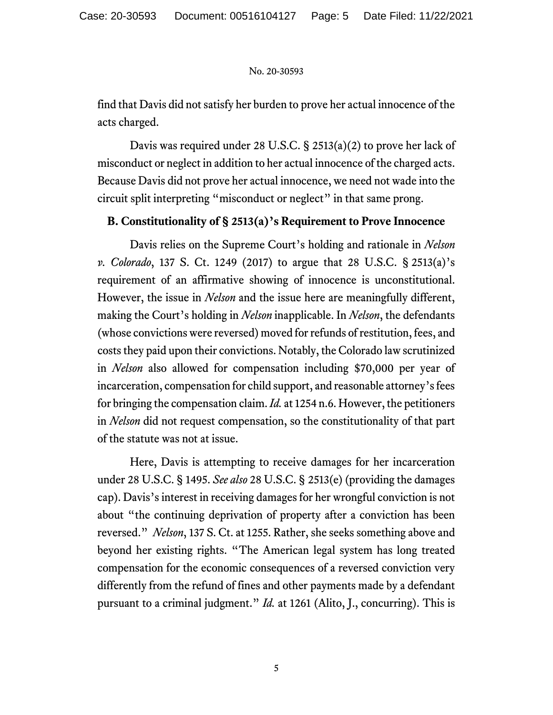find that Davis did not satisfy her burden to prove her actual innocence of the acts charged.

Davis was required under 28 U.S.C. § 2513(a)(2) to prove her lack of misconduct or neglect in addition to her actual innocence of the charged acts. Because Davis did not prove her actual innocence, we need not wade into the circuit split interpreting "misconduct or neglect" in that same prong.

### **B. Constitutionality of § 2513(a)'s Requirement to Prove Innocence**

Davis relies on the Supreme Court's holding and rationale in *Nelson v. Colorado*, 137 S. Ct. 1249 (2017) to argue that 28 U.S.C. § 2513(a)'s requirement of an affirmative showing of innocence is unconstitutional. However, the issue in *Nelson* and the issue here are meaningfully different, making the Court's holding in *Nelson* inapplicable. In *Nelson*, the defendants (whose convictions were reversed) moved for refunds of restitution, fees, and costs they paid upon their convictions. Notably, the Colorado law scrutinized in *Nelson* also allowed for compensation including \$70,000 per year of incarceration, compensation for child support, and reasonable attorney's fees for bringing the compensation claim. *Id.* at 1254 n.6. However, the petitioners in *Nelson* did not request compensation, so the constitutionality of that part of the statute was not at issue.

Here, Davis is attempting to receive damages for her incarceration under 28 U.S.C. § 1495. *See also* 28 U.S.C. § 2513(e) (providing the damages cap). Davis's interest in receiving damages for her wrongful conviction is not about "the continuing deprivation of property after a conviction has been reversed." *Nelson*, 137 S. Ct. at 1255. Rather, she seeks something above and beyond her existing rights. "The American legal system has long treated compensation for the economic consequences of a reversed conviction very differently from the refund of fines and other payments made by a defendant pursuant to a criminal judgment." *Id.* at 1261 (Alito, J., concurring). This is